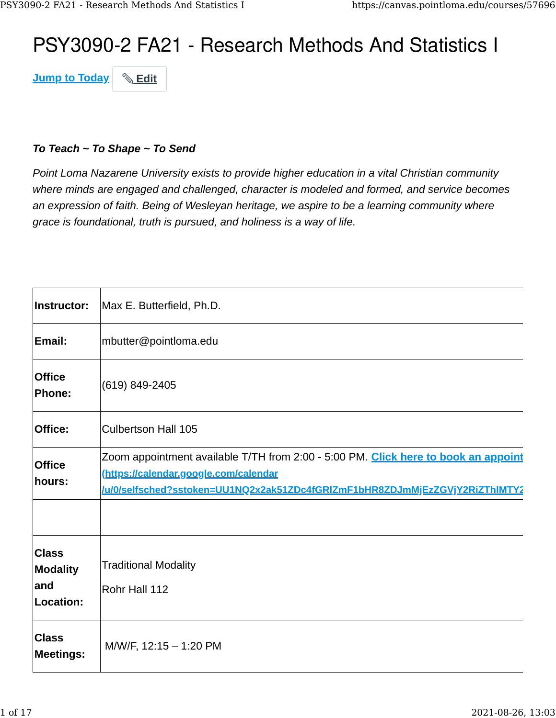# PSY3090-2 FA21 - Research Methods And Statistics I

**[Jump to Today](https://canvas.pointloma.edu/courses/57696#) & [Edit](https://canvas.pointloma.edu/courses/57696#)** 

#### *To Teach ~ To Shape ~ To Send*

*Point Loma Nazarene University exists to provide higher education in a vital Christian community where minds are engaged and challenged, character is modeled and formed, and service becomes an expression of faith. Being of Wesleyan heritage, we aspire to be a learning community where grace is foundational, truth is pursued, and holiness is a way of life.*

| Instructor:                                  | Max E. Butterfield, Ph.D.                                                                                                                                                                                  |
|----------------------------------------------|------------------------------------------------------------------------------------------------------------------------------------------------------------------------------------------------------------|
| Email:                                       | mbutter@pointloma.edu                                                                                                                                                                                      |
| <b>Office</b><br>Phone:                      | (619) 849-2405                                                                                                                                                                                             |
| Office:                                      | <b>Culbertson Hall 105</b>                                                                                                                                                                                 |
| <b>Office</b><br>hours:                      | Zoom appointment available T/TH from 2:00 - 5:00 PM. Click here to book an appoint<br>(https://calendar.google.com/calendar<br>/u/0/selfsched?sstoken=UU1NQ2x2ak51ZDc4fGRlZmF1bHR8ZDJmMjEzZGVjY2RiZThIMTY2 |
| <b>Class</b><br>Modality<br>and<br>Location: | <b>Traditional Modality</b><br>Rohr Hall 112                                                                                                                                                               |
| <b>Class</b><br><b>Meetings:</b>             | M/W/F, 12:15 - 1:20 PM                                                                                                                                                                                     |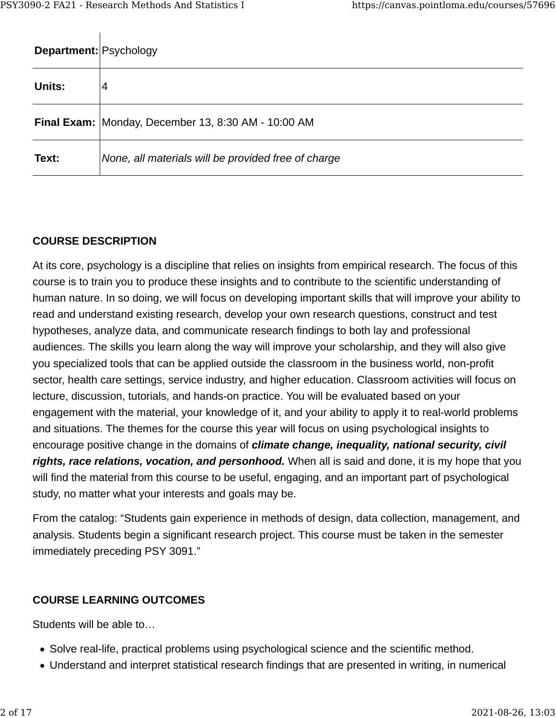$\mathbf{I}$ 

| <b>Department: Psychology</b> |                                                     |
|-------------------------------|-----------------------------------------------------|
| Units:                        | 4                                                   |
|                               | Final Exam: Monday, December 13, 8:30 AM - 10:00 AM |
| Text:                         | None, all materials will be provided free of charge |

### **COURSE DESCRIPTION**

At its core, psychology is a discipline that relies on insights from empirical research. The focus of this course is to train you to produce these insights and to contribute to the scientific understanding of human nature. In so doing, we will focus on developing important skills that will improve your ability to read and understand existing research, develop your own research questions, construct and test hypotheses, analyze data, and communicate research findings to both lay and professional audiences. The skills you learn along the way will improve your scholarship, and they will also give you specialized tools that can be applied outside the classroom in the business world, non-profit sector, health care settings, service industry, and higher education. Classroom activities will focus on lecture, discussion, tutorials, and hands-on practice. You will be evaluated based on your engagement with the material, your knowledge of it, and your ability to apply it to real-world problems and situations. The themes for the course this year will focus on using psychological insights to encourage positive change in the domains of *climate change, inequality, national security, civil rights, race relations, vocation, and personhood.* When all is said and done, it is my hope that you will find the material from this course to be useful, engaging, and an important part of psychological study, no matter what your interests and goals may be.

From the catalog: "Students gain experience in methods of design, data collection, management, and analysis. Students begin a significant research project. This course must be taken in the semester immediately preceding PSY 3091."

#### **COURSE LEARNING OUTCOMES**

Students will be able to…

- Solve real-life, practical problems using psychological science and the scientific method.
- Understand and interpret statistical research findings that are presented in writing, in numerical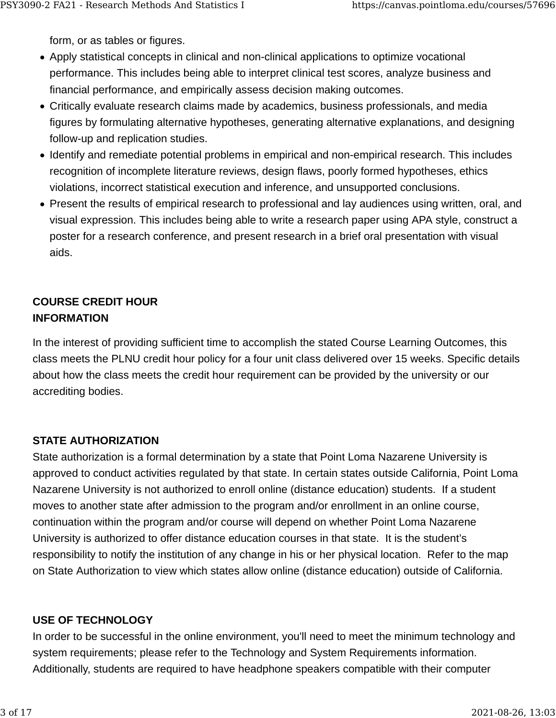form, or as tables or figures.

- Apply statistical concepts in clinical and non-clinical applications to optimize vocational performance. This includes being able to interpret clinical test scores, analyze business and financial performance, and empirically assess decision making outcomes.
- Critically evaluate research claims made by academics, business professionals, and media figures by formulating alternative hypotheses, generating alternative explanations, and designing follow-up and replication studies.
- Identify and remediate potential problems in empirical and non-empirical research. This includes recognition of incomplete literature reviews, design flaws, poorly formed hypotheses, ethics violations, incorrect statistical execution and inference, and unsupported conclusions.
- Present the results of empirical research to professional and lay audiences using written, oral, and visual expression. This includes being able to write a research paper using APA style, construct a poster for a research conference, and present research in a brief oral presentation with visual aids.

# **COURSE CREDIT HOUR INFORMATION**

In the interest of providing sufficient time to accomplish the stated Course Learning Outcomes, this class meets the PLNU credit hour policy for a four unit class delivered over 15 weeks. Specific details about how the class meets the credit hour requirement can be provided by the university or our accrediting bodies.

### **STATE AUTHORIZATION**

State authorization is a formal determination by a state that Point Loma Nazarene University is approved to conduct activities regulated by that state. In certain states outside California, Point Loma Nazarene University is not authorized to enroll online (distance education) students. If a student moves to another state after admission to the program and/or enrollment in an online course, continuation within the program and/or course will depend on whether Point Loma Nazarene University is authorized to offer distance education courses in that state. It is the student's responsibility to notify the institution of any change in his or her physical location. Refer to the map on State Authorization to view which states allow online (distance education) outside of California.

### **USE OF TECHNOLOGY**

In order to be successful in the online environment, you'll need to meet the minimum technology and system requirements; please refer to the Technology and System Requirements information. Additionally, students are required to have headphone speakers compatible with their computer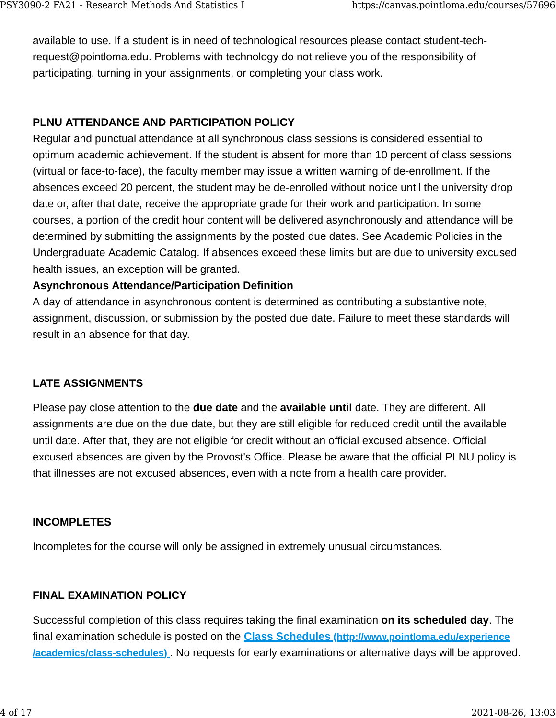available to use. If a student is in need of technological resources please contact student-techrequest@pointloma.edu. Problems with technology do not relieve you of the responsibility of participating, turning in your assignments, or completing your class work.

### **PLNU ATTENDANCE AND PARTICIPATION POLICY**

Regular and punctual attendance at all synchronous class sessions is considered essential to optimum academic achievement. If the student is absent for more than 10 percent of class sessions (virtual or face-to-face), the faculty member may issue a written warning of de-enrollment. If the absences exceed 20 percent, the student may be de-enrolled without notice until the university drop date or, after that date, receive the appropriate grade for their work and participation. In some courses, a portion of the credit hour content will be delivered asynchronously and attendance will be determined by submitting the assignments by the posted due dates. See Academic Policies in the Undergraduate Academic Catalog. If absences exceed these limits but are due to university excused health issues, an exception will be granted.

# **Asynchronous Attendance/Participation Definition**

A day of attendance in asynchronous content is determined as contributing a substantive note, assignment, discussion, or submission by the posted due date. Failure to meet these standards will result in an absence for that day.

### **LATE ASSIGNMENTS**

Please pay close attention to the **due date** and the **available until** date. They are different. All assignments are due on the due date, but they are still eligible for reduced credit until the available until date. After that, they are not eligible for credit without an official excused absence. Official excused absences are given by the Provost's Office. Please be aware that the official PLNU policy is that illnesses are not excused absences, even with a note from a health care provider.

### **INCOMPLETES**

Incompletes for the course will only be assigned in extremely unusual circumstances.

### **FINAL EXAMINATION POLICY**

Successful completion of this class requires taking the final examination **on its scheduled day**. The final examination schedule is posted on the **[Class Schedules \(http://www.pointloma.edu/experience](http://www.pointloma.edu/experience/academics/class-schedules) [/academics/class-schedules\)](http://www.pointloma.edu/experience/academics/class-schedules)** . No requests for early examinations or alternative days will be approved.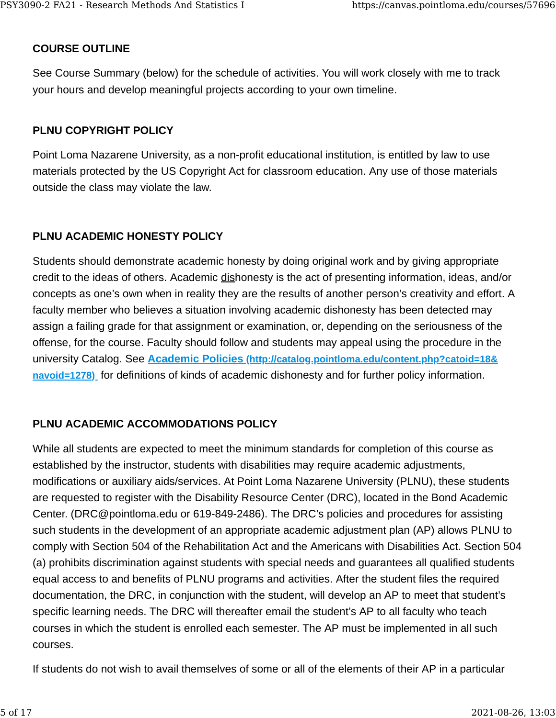#### **COURSE OUTLINE**

See Course Summary (below) for the schedule of activities. You will work closely with me to track your hours and develop meaningful projects according to your own timeline.

#### **PLNU COPYRIGHT POLICY**

Point Loma Nazarene University, as a non-profit educational institution, is entitled by law to use materials protected by the US Copyright Act for classroom education. Any use of those materials outside the class may violate the law.

### **PLNU ACADEMIC HONESTY POLICY**

Students should demonstrate academic honesty by doing original work and by giving appropriate credit to the ideas of others. Academic dishonesty is the act of presenting information, ideas, and/or concepts as one's own when in reality they are the results of another person's creativity and effort. A faculty member who believes a situation involving academic dishonesty has been detected may assign a failing grade for that assignment or examination, or, depending on the seriousness of the offense, for the course. Faculty should follow and students may appeal using the procedure in the university Catalog. See **[Academic Policies \(http://catalog.pointloma.edu/content.php?catoid=18&](http://catalog.pointloma.edu/content.php?catoid=18&navoid=1278) [navoid=1278\)](http://catalog.pointloma.edu/content.php?catoid=18&navoid=1278)** for definitions of kinds of academic dishonesty and for further policy information.

### **PLNU ACADEMIC ACCOMMODATIONS POLICY**

While all students are expected to meet the minimum standards for completion of this course as established by the instructor, students with disabilities may require academic adjustments, modifications or auxiliary aids/services. At Point Loma Nazarene University (PLNU), these students are requested to register with the Disability Resource Center (DRC), located in the Bond Academic Center. (DRC@pointloma.edu or 619-849-2486). The DRC's policies and procedures for assisting such students in the development of an appropriate academic adjustment plan (AP) allows PLNU to comply with Section 504 of the Rehabilitation Act and the Americans with Disabilities Act. Section 504 (a) prohibits discrimination against students with special needs and guarantees all qualified students equal access to and benefits of PLNU programs and activities. After the student files the required documentation, the DRC, in conjunction with the student, will develop an AP to meet that student's specific learning needs. The DRC will thereafter email the student's AP to all faculty who teach courses in which the student is enrolled each semester. The AP must be implemented in all such courses.

If students do not wish to avail themselves of some or all of the elements of their AP in a particular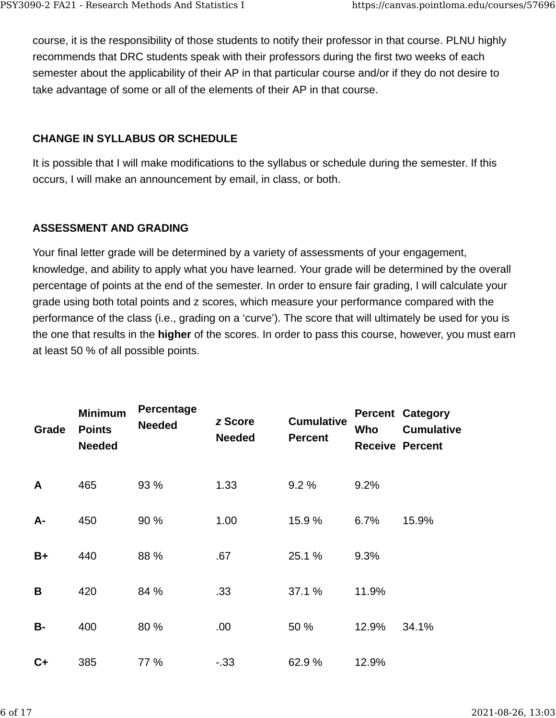course, it is the responsibility of those students to notify their professor in that course. PLNU highly recommends that DRC students speak with their professors during the first two weeks of each semester about the applicability of their AP in that particular course and/or if they do not desire to take advantage of some or all of the elements of their AP in that course.

# **CHANGE IN SYLLABUS OR SCHEDULE**

It is possible that I will make modifications to the syllabus or schedule during the semester. If this occurs, I will make an announcement by email, in class, or both.

### **ASSESSMENT AND GRADING**

Your final letter grade will be determined by a variety of assessments of your engagement, knowledge, and ability to apply what you have learned. Your grade will be determined by the overall percentage of points at the end of the semester. In order to ensure fair grading, I will calculate your grade using both total points and z scores, which measure your performance compared with the performance of the class (i.e., grading on a 'curve'). The score that will ultimately be used for you is the one that results in the **higher** of the scores. In order to pass this course, however, you must earn at least 50 % of all possible points.

| Grade     | <b>Minimum</b><br><b>Points</b><br><b>Needed</b> | <b>Percentage</b><br><b>Needed</b> | z Score<br><b>Needed</b> | <b>Cumulative</b><br><b>Percent</b> | Who   | <b>Percent Category</b><br><b>Cumulative</b><br><b>Receive Percent</b> |
|-----------|--------------------------------------------------|------------------------------------|--------------------------|-------------------------------------|-------|------------------------------------------------------------------------|
| A         | 465                                              | 93 %                               | 1.33                     | 9.2 %                               | 9.2%  |                                                                        |
| $A -$     | 450                                              | 90 %                               | 1.00                     | 15.9 %                              | 6.7%  | 15.9%                                                                  |
| $B+$      | 440                                              | 88 %                               | .67                      | 25.1 %                              | 9.3%  |                                                                        |
| B         | 420                                              | 84 %                               | .33                      | 37.1 %                              | 11.9% |                                                                        |
| <b>B-</b> | 400                                              | 80 %                               | .00.                     | 50 %                                | 12.9% | 34.1%                                                                  |
| $C+$      | 385                                              | 77 %                               | $-0.33$                  | 62.9 %                              | 12.9% |                                                                        |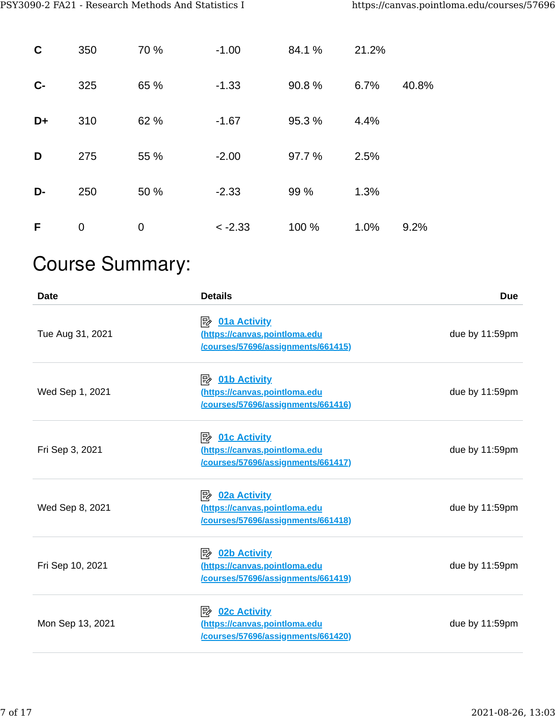| $\mathbf C$ | 350 | 70 % | $-1.00$   | 84.1%  | 21.2% |       |
|-------------|-----|------|-----------|--------|-------|-------|
| $C -$       | 325 | 65 % | $-1.33$   | 90.8%  | 6.7%  | 40.8% |
| D+          | 310 | 62 % | $-1.67$   | 95.3 % | 4.4%  |       |
| D           | 275 | 55 % | $-2.00$   | 97.7 % | 2.5%  |       |
| D-          | 250 | 50 % | $-2.33$   | 99 %   | 1.3%  |       |
| F           | 0   | 0    | $< -2.33$ | 100 %  | 1.0%  | 9.2%  |

# Course Summary:

| <b>Date</b>      | <b>Details</b>                                                                                    | <b>Due</b>     |
|------------------|---------------------------------------------------------------------------------------------------|----------------|
| Tue Aug 31, 2021 | $\Rightarrow$ 01a Activity<br>(https://canvas.pointloma.edu<br>/courses/57696/assignments/661415) | due by 11:59pm |
| Wed Sep 1, 2021  | $\Rightarrow$ 01b Activity<br>(https://canvas.pointloma.edu<br>/courses/57696/assignments/661416) | due by 11:59pm |
| Fri Sep 3, 2021  | $\mathbb{R}$ 01c Activity<br>(https://canvas.pointloma.edu<br>/courses/57696/assignments/661417)  | due by 11:59pm |
| Wed Sep 8, 2021  | <b>D2a Activity</b><br>(https://canvas.pointloma.edu<br>/courses/57696/assignments/661418)        | due by 11:59pm |
| Fri Sep 10, 2021 | $\mathbb{R}$ 02b Activity<br>(https://canvas.pointloma.edu<br>/courses/57696/assignments/661419)  | due by 11:59pm |
| Mon Sep 13, 2021 | $\Rightarrow$ 02c Activity<br>(https://canvas.pointloma.edu<br>/courses/57696/assignments/661420) | due by 11:59pm |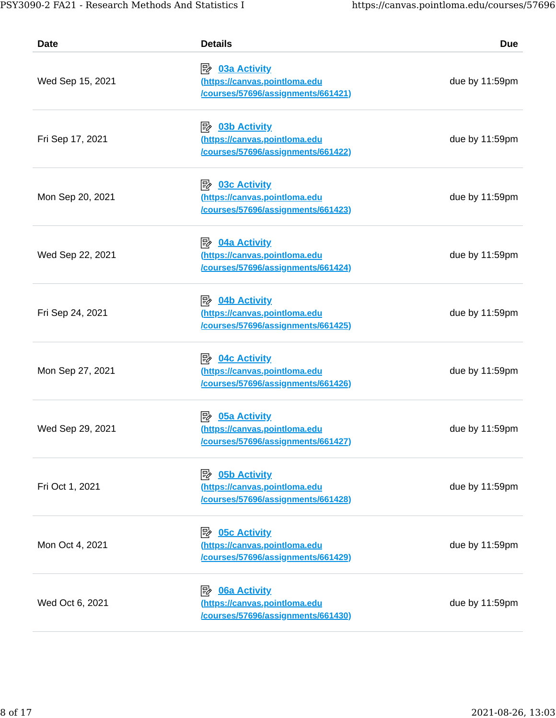| Date             | <b>Details</b>                                                                                             | <b>Due</b>     |
|------------------|------------------------------------------------------------------------------------------------------------|----------------|
| Wed Sep 15, 2021 | <u>⊅ 03a Activity</u><br>(https://canvas.pointloma.edu<br>/courses/57696/assignments/661421)               | due by 11:59pm |
| Fri Sep 17, 2021 | <i><b>B</b></i> 03b Activity<br>(https://canvas.pointloma.edu<br>/courses/57696/assignments/661422)        | due by 11:59pm |
| Mon Sep 20, 2021 | <i><b>E</b></i> <u>03c Activity</u><br>(https://canvas.pointloma.edu<br>/courses/57696/assignments/661423) | due by 11:59pm |
| Wed Sep 22, 2021 | <b><i>E</i></b> <u>04a Activity</u><br>(https://canvas.pointloma.edu<br>/courses/57696/assignments/661424) | due by 11:59pm |
| Fri Sep 24, 2021 | <i><b>E</b></i> 04b Activity<br>(https://canvas.pointloma.edu<br>/courses/57696/assignments/661425)        | due by 11:59pm |
| Mon Sep 27, 2021 | <b>04c Activity</b><br>吟<br>(https://canvas.pointloma.edu<br>/courses/57696/assignments/661426)            | due by 11:59pm |
| Wed Sep 29, 2021 | 吟<br><b>05a Activity</b><br>(https://canvas.pointloma.edu<br>courses/57696/assignments/661427)             | due by 11:59pm |
| Fri Oct 1, 2021  | 駗<br><b>05b Activity</b><br>(https://canvas.pointloma.edu<br>/courses/57696/assignments/661428)            | due by 11:59pm |
| Mon Oct 4, 2021  | 吟<br><b>05c Activity</b><br>(https://canvas.pointloma.edu<br>/courses/57696/assignments/661429)            | due by 11:59pm |
| Wed Oct 6, 2021  | 眕<br><b>06a Activity</b><br>(https://canvas.pointloma.edu<br>/courses/57696/assignments/661430)            | due by 11:59pm |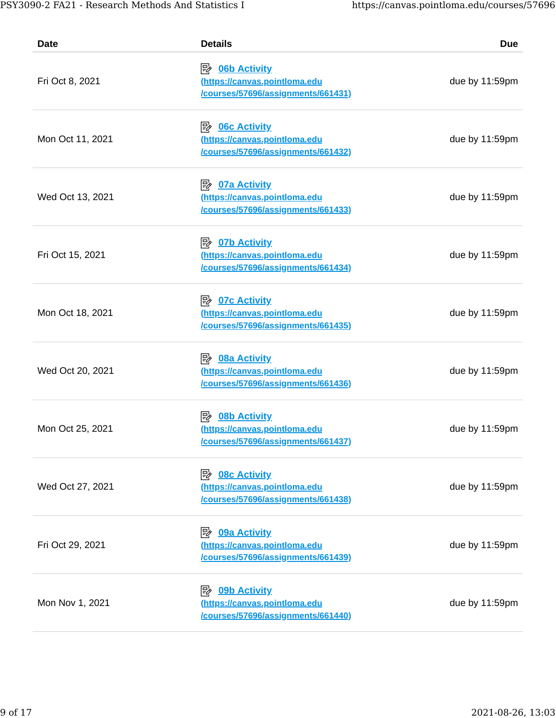| Date             | <b>Details</b>                                                                                             | <b>Due</b>     |
|------------------|------------------------------------------------------------------------------------------------------------|----------------|
| Fri Oct 8, 2021  | ■ 06b Activity<br>(https://canvas.pointloma.edu<br>/courses/57696/assignments/661431)                      | due by 11:59pm |
| Mon Oct 11, 2021 | $\Rightarrow$ 06c Activity<br>(https://canvas.pointloma.edu<br>/courses/57696/assignments/661432)          | due by 11:59pm |
| Wed Oct 13, 2021 | $\mathbb{R}$ 07a Activity<br>(https://canvas.pointloma.edu<br>/courses/57696/assignments/661433)           | due by 11:59pm |
| Fri Oct 15, 2021 | <i><b>B</b></i> 07b Activity<br>(https://canvas.pointloma.edu<br>/courses/57696/assignments/661434)        | due by 11:59pm |
| Mon Oct 18, 2021 | <i><b>B</b></i> <u>07c Activity</u><br>(https://canvas.pointloma.edu<br>/courses/57696/assignments/661435) | due by 11:59pm |
| Wed Oct 20, 2021 | <b>08a Activity</b><br>吟<br>(https://canvas.pointloma.edu<br>/courses/57696/assignments/661436)            | due by 11:59pm |
| Mon Oct 25, 2021 | 眕<br><b>08b Activity</b><br>(https://canvas.pointloma.edu<br>courses/57696/assignments/661437)             | due by 11:59pm |
| Wed Oct 27, 2021 | <i><b>B</b></i> <u>08c Activity</u><br>(https://canvas.pointloma.edu<br>/courses/57696/assignments/661438) | due by 11:59pm |
| Fri Oct 29, 2021 | 吟<br>09a Activity<br>(https://canvas.pointloma.edu<br>/courses/57696/assignments/661439)                   | due by 11:59pm |
| Mon Nov 1, 2021  | 09b Activity<br>眕<br>(https://canvas.pointloma.edu<br>/courses/57696/assignments/661440)                   | due by 11:59pm |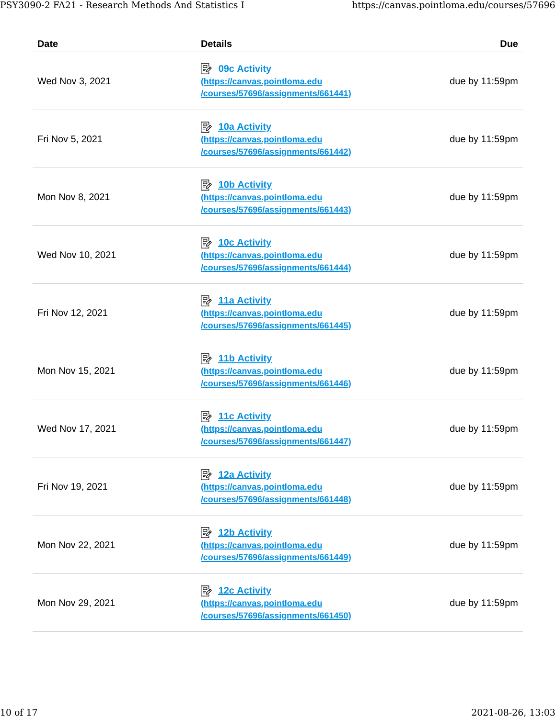| <b>Date</b>      | <b>Details</b>                                                                                    | <b>Due</b>     |
|------------------|---------------------------------------------------------------------------------------------------|----------------|
| Wed Nov 3, 2021  | (https://canvas.pointloma.edu<br>/courses/57696/assignments/661441)                               | due by 11:59pm |
| Fri Nov 5, 2021  | $\Rightarrow$ 10a Activity<br>(https://canvas.pointloma.edu<br>/courses/57696/assignments/661442) | due by 11:59pm |
| Mon Nov 8, 2021  | $\mathbb{R}$ 10b Activity<br>(https://canvas.pointloma.edu<br>/courses/57696/assignments/661443)  | due by 11:59pm |
| Wed Nov 10, 2021 | $\mathbb{R}$ 10c Activity<br>(https://canvas.pointloma.edu<br>/courses/57696/assignments/661444)  | due by 11:59pm |
| Fri Nov 12, 2021 | $\mathbb{R}$ 11a Activity<br>(https://canvas.pointloma.edu<br>/courses/57696/assignments/661445)  | due by 11:59pm |
| Mon Nov 15, 2021 | <b>11b Activity</b><br>吟<br>(https://canvas.pointloma.edu<br>/courses/57696/assignments/661446)   | due by 11:59pm |
| Wed Nov 17, 2021 | <b>11c Activity</b><br>吟<br>(https://canvas.pointloma.edu<br>/courses/57696/assignments/661447)   | due by 11:59pm |
| Fri Nov 19, 2021 | $\mathbb{R}$ 12a Activity<br>(https://canvas.pointloma.edu<br>/courses/57696/assignments/661448)  | due by 11:59pm |
| Mon Nov 22, 2021 | 吟<br><b>12b Activity</b><br>(https://canvas.pointloma.edu<br>/courses/57696/assignments/661449)   | due by 11:59pm |
| Mon Nov 29, 2021 | <b>12c Activity</b><br>吟<br>(https://canvas.pointloma.edu<br>/courses/57696/assignments/661450)   | due by 11:59pm |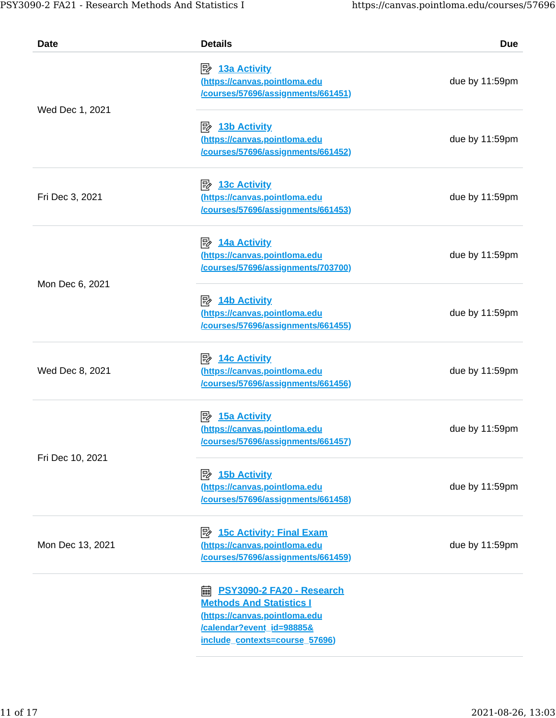| Date             | <b>Details</b>                                                      | Due            |
|------------------|---------------------------------------------------------------------|----------------|
|                  | $\Rightarrow$ 13a Activity                                          |                |
|                  | (https://canvas.pointloma.edu                                       | due by 11:59pm |
| Wed Dec 1, 2021  | /courses/57696/assignments/661451)                                  |                |
|                  | $\Rightarrow$ 13b Activity                                          |                |
|                  | (https://canvas.pointloma.edu                                       | due by 11:59pm |
|                  | /courses/57696/assignments/661452)                                  |                |
|                  | $\mathbb{R}$ 13c Activity                                           |                |
| Fri Dec 3, 2021  | (https://canvas.pointloma.edu                                       | due by 11:59pm |
|                  | /courses/57696/assignments/661453)                                  |                |
|                  | $\mathbb{R}$ 14a Activity                                           |                |
|                  | (https://canvas.pointloma.edu                                       | due by 11:59pm |
|                  | /courses/57696/assignments/703700)                                  |                |
| Mon Dec 6, 2021  | $\mathbb{R}$ 14b Activity                                           |                |
|                  | (https://canvas.pointloma.edu                                       | due by 11:59pm |
|                  | /courses/57696/assignments/661455)                                  |                |
|                  | $\Rightarrow$ 14c Activity                                          |                |
| Wed Dec 8, 2021  | (https://canvas.pointloma.edu                                       | due by 11:59pm |
|                  | /courses/57696/assignments/661456)                                  |                |
|                  | <b>15a Activity</b><br>⊯≽                                           |                |
|                  | (https://canvas.pointloma.edu                                       | due by 11:59pm |
|                  | /courses/57696/assignments/661457)                                  |                |
| Fri Dec 10, 2021 |                                                                     |                |
|                  | 影<br><b>15b Activity</b>                                            |                |
|                  | (https://canvas.pointloma.edu<br>/courses/57696/assignments/661458) | due by 11:59pm |
|                  | $\Rightarrow$ 15c Activity: Final Exam                              |                |
| Mon Dec 13, 2021 | (https://canvas.pointloma.edu                                       | due by 11:59pm |
|                  | /courses/57696/assignments/661459)                                  |                |
|                  | <b>PSY3090-2 FA20 - Research</b><br>翩                               |                |
|                  | <b>Methods And Statistics I</b>                                     |                |
|                  | (https://canvas.pointloma.edu                                       |                |
|                  | /calendar?event_id=98885&                                           |                |
|                  | include contexts=course 57696)                                      |                |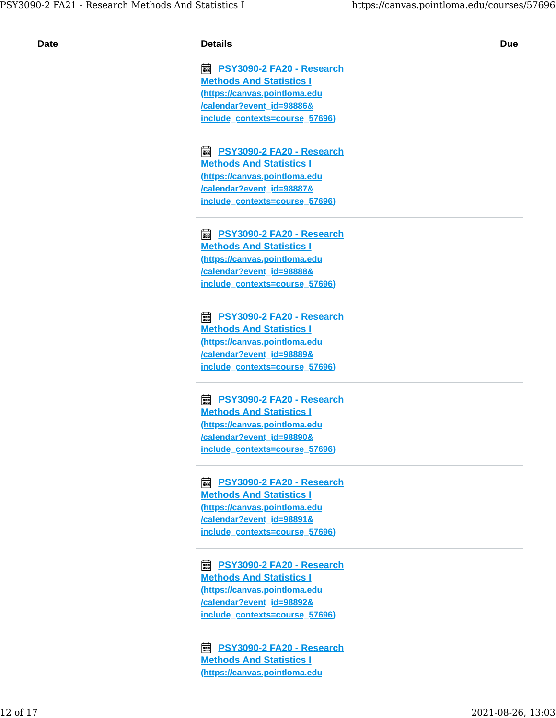**[PSY3090-2 FA20 - Research](https://canvas.pointloma.edu/calendar?event_id=98886&include_contexts=course_57696) [Methods And Statistics I](https://canvas.pointloma.edu/calendar?event_id=98886&include_contexts=course_57696) [\(https://canvas.pointloma.edu](https://canvas.pointloma.edu/calendar?event_id=98886&include_contexts=course_57696) [/calendar?event\\_id=98886&](https://canvas.pointloma.edu/calendar?event_id=98886&include_contexts=course_57696) [include\\_contexts=course\\_57696\)](https://canvas.pointloma.edu/calendar?event_id=98886&include_contexts=course_57696)**

 **[PSY3090-2 FA20 - Research](https://canvas.pointloma.edu/calendar?event_id=98887&include_contexts=course_57696) [Methods And Statistics I](https://canvas.pointloma.edu/calendar?event_id=98887&include_contexts=course_57696) [\(https://canvas.pointloma.edu](https://canvas.pointloma.edu/calendar?event_id=98887&include_contexts=course_57696) [/calendar?event\\_id=98887&](https://canvas.pointloma.edu/calendar?event_id=98887&include_contexts=course_57696) [include\\_contexts=course\\_57696\)](https://canvas.pointloma.edu/calendar?event_id=98887&include_contexts=course_57696)**

 **[PSY3090-2 FA20 - Research](https://canvas.pointloma.edu/calendar?event_id=98888&include_contexts=course_57696) [Methods And Statistics I](https://canvas.pointloma.edu/calendar?event_id=98888&include_contexts=course_57696) [\(https://canvas.pointloma.edu](https://canvas.pointloma.edu/calendar?event_id=98888&include_contexts=course_57696) [/calendar?event\\_id=98888&](https://canvas.pointloma.edu/calendar?event_id=98888&include_contexts=course_57696) [include\\_contexts=course\\_57696\)](https://canvas.pointloma.edu/calendar?event_id=98888&include_contexts=course_57696)**

 **[PSY3090-2 FA20 - Research](https://canvas.pointloma.edu/calendar?event_id=98889&include_contexts=course_57696) [Methods And Statistics I](https://canvas.pointloma.edu/calendar?event_id=98889&include_contexts=course_57696) [\(https://canvas.pointloma.edu](https://canvas.pointloma.edu/calendar?event_id=98889&include_contexts=course_57696) [/calendar?event\\_id=98889&](https://canvas.pointloma.edu/calendar?event_id=98889&include_contexts=course_57696) [include\\_contexts=course\\_57696\)](https://canvas.pointloma.edu/calendar?event_id=98889&include_contexts=course_57696)**

 **[PSY3090-2 FA20 - Research](https://canvas.pointloma.edu/calendar?event_id=98890&include_contexts=course_57696) [Methods And Statistics I](https://canvas.pointloma.edu/calendar?event_id=98890&include_contexts=course_57696) [\(https://canvas.pointloma.edu](https://canvas.pointloma.edu/calendar?event_id=98890&include_contexts=course_57696) [/calendar?event\\_id=98890&](https://canvas.pointloma.edu/calendar?event_id=98890&include_contexts=course_57696) [include\\_contexts=course\\_57696\)](https://canvas.pointloma.edu/calendar?event_id=98890&include_contexts=course_57696)**

 **[PSY3090-2 FA20 - Research](https://canvas.pointloma.edu/calendar?event_id=98891&include_contexts=course_57696) [Methods And Statistics I](https://canvas.pointloma.edu/calendar?event_id=98891&include_contexts=course_57696) [\(https://canvas.pointloma.edu](https://canvas.pointloma.edu/calendar?event_id=98891&include_contexts=course_57696) [/calendar?event\\_id=98891&](https://canvas.pointloma.edu/calendar?event_id=98891&include_contexts=course_57696) [include\\_contexts=course\\_57696\)](https://canvas.pointloma.edu/calendar?event_id=98891&include_contexts=course_57696)**

 **[PSY3090-2 FA20 - Research](https://canvas.pointloma.edu/calendar?event_id=98892&include_contexts=course_57696) [Methods And Statistics I](https://canvas.pointloma.edu/calendar?event_id=98892&include_contexts=course_57696) [\(https://canvas.pointloma.edu](https://canvas.pointloma.edu/calendar?event_id=98892&include_contexts=course_57696) [/calendar?event\\_id=98892&](https://canvas.pointloma.edu/calendar?event_id=98892&include_contexts=course_57696) [include\\_contexts=course\\_57696\)](https://canvas.pointloma.edu/calendar?event_id=98892&include_contexts=course_57696)**

 **[PSY3090-2 FA20 - Research](https://canvas.pointloma.edu/calendar?event_id=98893&include_contexts=course_57696) [Methods And Statistics I](https://canvas.pointloma.edu/calendar?event_id=98893&include_contexts=course_57696) [\(https://canvas.pointloma.edu](https://canvas.pointloma.edu/calendar?event_id=98893&include_contexts=course_57696)**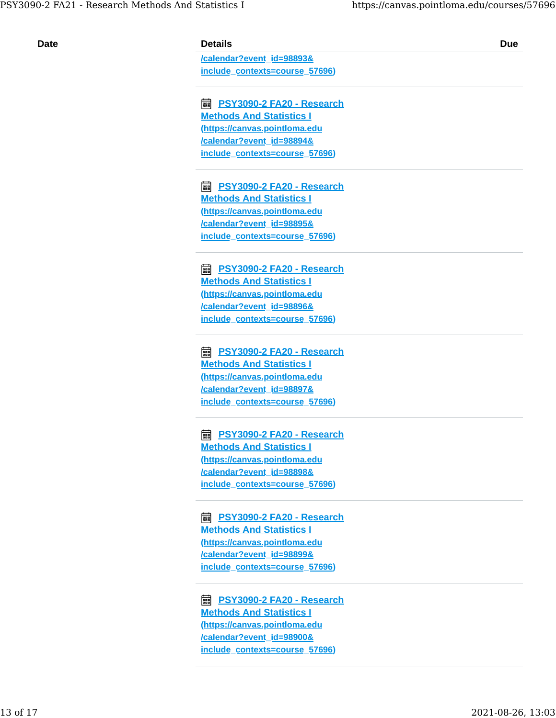**[/calendar?event\\_id=98893&](https://canvas.pointloma.edu/calendar?event_id=98893&include_contexts=course_57696) [include\\_contexts=course\\_57696\)](https://canvas.pointloma.edu/calendar?event_id=98893&include_contexts=course_57696)**

 **[PSY3090-2 FA20 - Research](https://canvas.pointloma.edu/calendar?event_id=98894&include_contexts=course_57696) [Methods And Statistics I](https://canvas.pointloma.edu/calendar?event_id=98894&include_contexts=course_57696) [\(https://canvas.pointloma.edu](https://canvas.pointloma.edu/calendar?event_id=98894&include_contexts=course_57696) [/calendar?event\\_id=98894&](https://canvas.pointloma.edu/calendar?event_id=98894&include_contexts=course_57696) [include\\_contexts=course\\_57696\)](https://canvas.pointloma.edu/calendar?event_id=98894&include_contexts=course_57696)**

 **[PSY3090-2 FA20 - Research](https://canvas.pointloma.edu/calendar?event_id=98895&include_contexts=course_57696) [Methods And Statistics I](https://canvas.pointloma.edu/calendar?event_id=98895&include_contexts=course_57696) [\(https://canvas.pointloma.edu](https://canvas.pointloma.edu/calendar?event_id=98895&include_contexts=course_57696) [/calendar?event\\_id=98895&](https://canvas.pointloma.edu/calendar?event_id=98895&include_contexts=course_57696) [include\\_contexts=course\\_57696\)](https://canvas.pointloma.edu/calendar?event_id=98895&include_contexts=course_57696)**

 **[PSY3090-2 FA20 - Research](https://canvas.pointloma.edu/calendar?event_id=98896&include_contexts=course_57696) [Methods And Statistics I](https://canvas.pointloma.edu/calendar?event_id=98896&include_contexts=course_57696) [\(https://canvas.pointloma.edu](https://canvas.pointloma.edu/calendar?event_id=98896&include_contexts=course_57696) [/calendar?event\\_id=98896&](https://canvas.pointloma.edu/calendar?event_id=98896&include_contexts=course_57696) [include\\_contexts=course\\_57696\)](https://canvas.pointloma.edu/calendar?event_id=98896&include_contexts=course_57696)**

 **[PSY3090-2 FA20 - Research](https://canvas.pointloma.edu/calendar?event_id=98897&include_contexts=course_57696) [Methods And Statistics I](https://canvas.pointloma.edu/calendar?event_id=98897&include_contexts=course_57696) [\(https://canvas.pointloma.edu](https://canvas.pointloma.edu/calendar?event_id=98897&include_contexts=course_57696) [/calendar?event\\_id=98897&](https://canvas.pointloma.edu/calendar?event_id=98897&include_contexts=course_57696) [include\\_contexts=course\\_57696\)](https://canvas.pointloma.edu/calendar?event_id=98897&include_contexts=course_57696)**

 **[PSY3090-2 FA20 - Research](https://canvas.pointloma.edu/calendar?event_id=98898&include_contexts=course_57696) [Methods And Statistics I](https://canvas.pointloma.edu/calendar?event_id=98898&include_contexts=course_57696) [\(https://canvas.pointloma.edu](https://canvas.pointloma.edu/calendar?event_id=98898&include_contexts=course_57696) [/calendar?event\\_id=98898&](https://canvas.pointloma.edu/calendar?event_id=98898&include_contexts=course_57696) [include\\_contexts=course\\_57696\)](https://canvas.pointloma.edu/calendar?event_id=98898&include_contexts=course_57696)**

 **[PSY3090-2 FA20 - Research](https://canvas.pointloma.edu/calendar?event_id=98899&include_contexts=course_57696) [Methods And Statistics I](https://canvas.pointloma.edu/calendar?event_id=98899&include_contexts=course_57696) [\(https://canvas.pointloma.edu](https://canvas.pointloma.edu/calendar?event_id=98899&include_contexts=course_57696) [/calendar?event\\_id=98899&](https://canvas.pointloma.edu/calendar?event_id=98899&include_contexts=course_57696) [include\\_contexts=course\\_57696\)](https://canvas.pointloma.edu/calendar?event_id=98899&include_contexts=course_57696)**

 **[PSY3090-2 FA20 - Research](https://canvas.pointloma.edu/calendar?event_id=98900&include_contexts=course_57696) [Methods And Statistics I](https://canvas.pointloma.edu/calendar?event_id=98900&include_contexts=course_57696) [\(https://canvas.pointloma.edu](https://canvas.pointloma.edu/calendar?event_id=98900&include_contexts=course_57696) [/calendar?event\\_id=98900&](https://canvas.pointloma.edu/calendar?event_id=98900&include_contexts=course_57696) [include\\_contexts=course\\_57696\)](https://canvas.pointloma.edu/calendar?event_id=98900&include_contexts=course_57696)**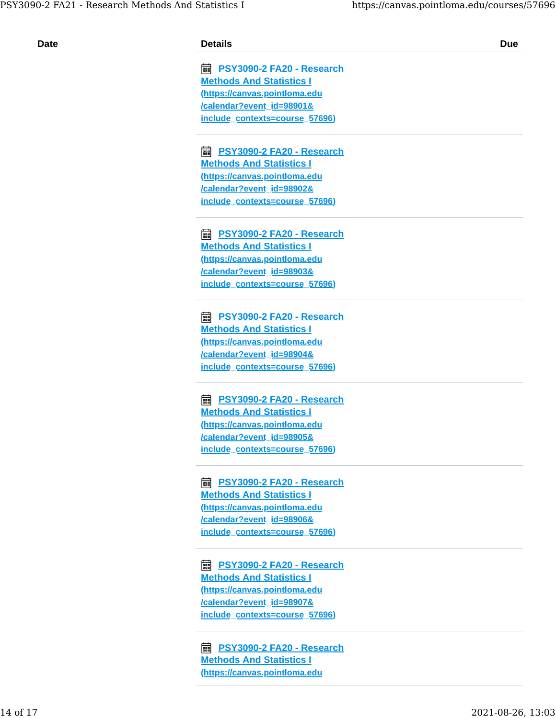**[PSY3090-2 FA20 - Research](https://canvas.pointloma.edu/calendar?event_id=98901&include_contexts=course_57696) [Methods And Statistics I](https://canvas.pointloma.edu/calendar?event_id=98901&include_contexts=course_57696) [\(https://canvas.pointloma.edu](https://canvas.pointloma.edu/calendar?event_id=98901&include_contexts=course_57696) [/calendar?event\\_id=98901&](https://canvas.pointloma.edu/calendar?event_id=98901&include_contexts=course_57696) [include\\_contexts=course\\_57696\)](https://canvas.pointloma.edu/calendar?event_id=98901&include_contexts=course_57696)**

 **[PSY3090-2 FA20 - Research](https://canvas.pointloma.edu/calendar?event_id=98902&include_contexts=course_57696) [Methods And Statistics I](https://canvas.pointloma.edu/calendar?event_id=98902&include_contexts=course_57696) [\(https://canvas.pointloma.edu](https://canvas.pointloma.edu/calendar?event_id=98902&include_contexts=course_57696) [/calendar?event\\_id=98902&](https://canvas.pointloma.edu/calendar?event_id=98902&include_contexts=course_57696) [include\\_contexts=course\\_57696\)](https://canvas.pointloma.edu/calendar?event_id=98902&include_contexts=course_57696)**

 **[PSY3090-2 FA20 - Research](https://canvas.pointloma.edu/calendar?event_id=98903&include_contexts=course_57696) [Methods And Statistics I](https://canvas.pointloma.edu/calendar?event_id=98903&include_contexts=course_57696) [\(https://canvas.pointloma.edu](https://canvas.pointloma.edu/calendar?event_id=98903&include_contexts=course_57696) [/calendar?event\\_id=98903&](https://canvas.pointloma.edu/calendar?event_id=98903&include_contexts=course_57696) [include\\_contexts=course\\_57696\)](https://canvas.pointloma.edu/calendar?event_id=98903&include_contexts=course_57696)**

 **[PSY3090-2 FA20 - Research](https://canvas.pointloma.edu/calendar?event_id=98904&include_contexts=course_57696) [Methods And Statistics I](https://canvas.pointloma.edu/calendar?event_id=98904&include_contexts=course_57696) [\(https://canvas.pointloma.edu](https://canvas.pointloma.edu/calendar?event_id=98904&include_contexts=course_57696) [/calendar?event\\_id=98904&](https://canvas.pointloma.edu/calendar?event_id=98904&include_contexts=course_57696) [include\\_contexts=course\\_57696\)](https://canvas.pointloma.edu/calendar?event_id=98904&include_contexts=course_57696)**

 **[PSY3090-2 FA20 - Research](https://canvas.pointloma.edu/calendar?event_id=98905&include_contexts=course_57696) [Methods And Statistics I](https://canvas.pointloma.edu/calendar?event_id=98905&include_contexts=course_57696) [\(https://canvas.pointloma.edu](https://canvas.pointloma.edu/calendar?event_id=98905&include_contexts=course_57696) [/calendar?event\\_id=98905&](https://canvas.pointloma.edu/calendar?event_id=98905&include_contexts=course_57696) [include\\_contexts=course\\_57696\)](https://canvas.pointloma.edu/calendar?event_id=98905&include_contexts=course_57696)**

 **[PSY3090-2 FA20 - Research](https://canvas.pointloma.edu/calendar?event_id=98906&include_contexts=course_57696) [Methods And Statistics I](https://canvas.pointloma.edu/calendar?event_id=98906&include_contexts=course_57696) [\(https://canvas.pointloma.edu](https://canvas.pointloma.edu/calendar?event_id=98906&include_contexts=course_57696) [/calendar?event\\_id=98906&](https://canvas.pointloma.edu/calendar?event_id=98906&include_contexts=course_57696) [include\\_contexts=course\\_57696\)](https://canvas.pointloma.edu/calendar?event_id=98906&include_contexts=course_57696)**

 **[PSY3090-2 FA20 - Research](https://canvas.pointloma.edu/calendar?event_id=98907&include_contexts=course_57696) [Methods And Statistics I](https://canvas.pointloma.edu/calendar?event_id=98907&include_contexts=course_57696) [\(https://canvas.pointloma.edu](https://canvas.pointloma.edu/calendar?event_id=98907&include_contexts=course_57696) [/calendar?event\\_id=98907&](https://canvas.pointloma.edu/calendar?event_id=98907&include_contexts=course_57696) [include\\_contexts=course\\_57696\)](https://canvas.pointloma.edu/calendar?event_id=98907&include_contexts=course_57696)**

 **[PSY3090-2 FA20 - Research](https://canvas.pointloma.edu/calendar?event_id=98908&include_contexts=course_57696) [Methods And Statistics I](https://canvas.pointloma.edu/calendar?event_id=98908&include_contexts=course_57696) [\(https://canvas.pointloma.edu](https://canvas.pointloma.edu/calendar?event_id=98908&include_contexts=course_57696)**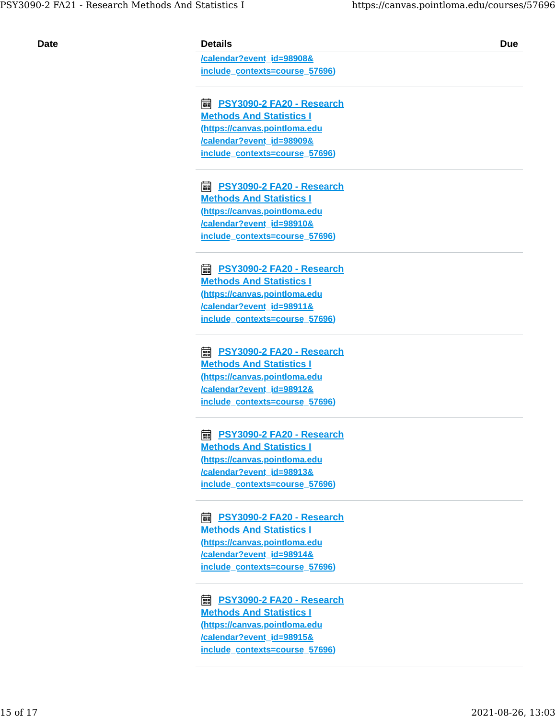**[/calendar?event\\_id=98908&](https://canvas.pointloma.edu/calendar?event_id=98908&include_contexts=course_57696) [include\\_contexts=course\\_57696\)](https://canvas.pointloma.edu/calendar?event_id=98908&include_contexts=course_57696)**

 **[PSY3090-2 FA20 - Research](https://canvas.pointloma.edu/calendar?event_id=98909&include_contexts=course_57696) [Methods And Statistics I](https://canvas.pointloma.edu/calendar?event_id=98909&include_contexts=course_57696) [\(https://canvas.pointloma.edu](https://canvas.pointloma.edu/calendar?event_id=98909&include_contexts=course_57696) [/calendar?event\\_id=98909&](https://canvas.pointloma.edu/calendar?event_id=98909&include_contexts=course_57696) [include\\_contexts=course\\_57696\)](https://canvas.pointloma.edu/calendar?event_id=98909&include_contexts=course_57696)**

 **[PSY3090-2 FA20 - Research](https://canvas.pointloma.edu/calendar?event_id=98910&include_contexts=course_57696) [Methods And Statistics I](https://canvas.pointloma.edu/calendar?event_id=98910&include_contexts=course_57696) [\(https://canvas.pointloma.edu](https://canvas.pointloma.edu/calendar?event_id=98910&include_contexts=course_57696) [/calendar?event\\_id=98910&](https://canvas.pointloma.edu/calendar?event_id=98910&include_contexts=course_57696) [include\\_contexts=course\\_57696\)](https://canvas.pointloma.edu/calendar?event_id=98910&include_contexts=course_57696)**

 **[PSY3090-2 FA20 - Research](https://canvas.pointloma.edu/calendar?event_id=98911&include_contexts=course_57696) [Methods And Statistics I](https://canvas.pointloma.edu/calendar?event_id=98911&include_contexts=course_57696) [\(https://canvas.pointloma.edu](https://canvas.pointloma.edu/calendar?event_id=98911&include_contexts=course_57696) [/calendar?event\\_id=98911&](https://canvas.pointloma.edu/calendar?event_id=98911&include_contexts=course_57696) [include\\_contexts=course\\_57696\)](https://canvas.pointloma.edu/calendar?event_id=98911&include_contexts=course_57696)**

 **[PSY3090-2 FA20 - Research](https://canvas.pointloma.edu/calendar?event_id=98912&include_contexts=course_57696) [Methods And Statistics I](https://canvas.pointloma.edu/calendar?event_id=98912&include_contexts=course_57696) [\(https://canvas.pointloma.edu](https://canvas.pointloma.edu/calendar?event_id=98912&include_contexts=course_57696) [/calendar?event\\_id=98912&](https://canvas.pointloma.edu/calendar?event_id=98912&include_contexts=course_57696) [include\\_contexts=course\\_57696\)](https://canvas.pointloma.edu/calendar?event_id=98912&include_contexts=course_57696)**

 **[PSY3090-2 FA20 - Research](https://canvas.pointloma.edu/calendar?event_id=98913&include_contexts=course_57696) [Methods And Statistics I](https://canvas.pointloma.edu/calendar?event_id=98913&include_contexts=course_57696) [\(https://canvas.pointloma.edu](https://canvas.pointloma.edu/calendar?event_id=98913&include_contexts=course_57696) [/calendar?event\\_id=98913&](https://canvas.pointloma.edu/calendar?event_id=98913&include_contexts=course_57696) [include\\_contexts=course\\_57696\)](https://canvas.pointloma.edu/calendar?event_id=98913&include_contexts=course_57696)**

 **[PSY3090-2 FA20 - Research](https://canvas.pointloma.edu/calendar?event_id=98914&include_contexts=course_57696) [Methods And Statistics I](https://canvas.pointloma.edu/calendar?event_id=98914&include_contexts=course_57696) [\(https://canvas.pointloma.edu](https://canvas.pointloma.edu/calendar?event_id=98914&include_contexts=course_57696) [/calendar?event\\_id=98914&](https://canvas.pointloma.edu/calendar?event_id=98914&include_contexts=course_57696) [include\\_contexts=course\\_57696\)](https://canvas.pointloma.edu/calendar?event_id=98914&include_contexts=course_57696)**

 **[PSY3090-2 FA20 - Research](https://canvas.pointloma.edu/calendar?event_id=98915&include_contexts=course_57696) [Methods And Statistics I](https://canvas.pointloma.edu/calendar?event_id=98915&include_contexts=course_57696) [\(https://canvas.pointloma.edu](https://canvas.pointloma.edu/calendar?event_id=98915&include_contexts=course_57696) [/calendar?event\\_id=98915&](https://canvas.pointloma.edu/calendar?event_id=98915&include_contexts=course_57696) [include\\_contexts=course\\_57696\)](https://canvas.pointloma.edu/calendar?event_id=98915&include_contexts=course_57696)**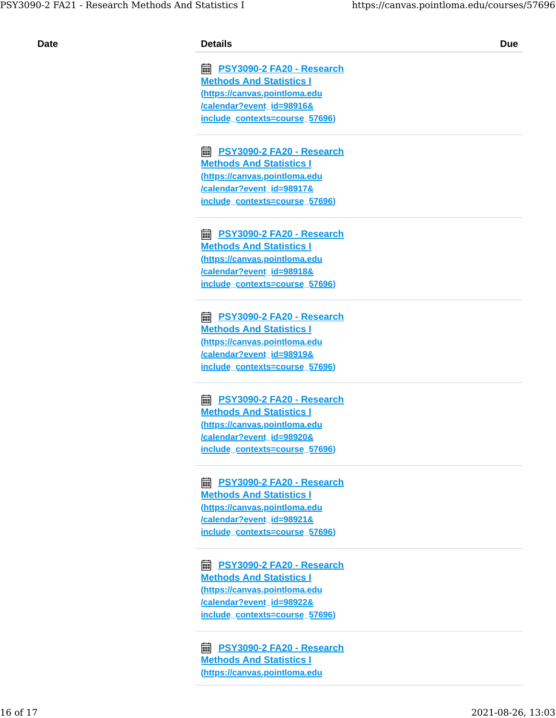**[PSY3090-2 FA20 - Research](https://canvas.pointloma.edu/calendar?event_id=98916&include_contexts=course_57696) [Methods And Statistics I](https://canvas.pointloma.edu/calendar?event_id=98916&include_contexts=course_57696) [\(https://canvas.pointloma.edu](https://canvas.pointloma.edu/calendar?event_id=98916&include_contexts=course_57696) [/calendar?event\\_id=98916&](https://canvas.pointloma.edu/calendar?event_id=98916&include_contexts=course_57696) [include\\_contexts=course\\_57696\)](https://canvas.pointloma.edu/calendar?event_id=98916&include_contexts=course_57696)**

 **[PSY3090-2 FA20 - Research](https://canvas.pointloma.edu/calendar?event_id=98917&include_contexts=course_57696) [Methods And Statistics I](https://canvas.pointloma.edu/calendar?event_id=98917&include_contexts=course_57696) [\(https://canvas.pointloma.edu](https://canvas.pointloma.edu/calendar?event_id=98917&include_contexts=course_57696) [/calendar?event\\_id=98917&](https://canvas.pointloma.edu/calendar?event_id=98917&include_contexts=course_57696) [include\\_contexts=course\\_57696\)](https://canvas.pointloma.edu/calendar?event_id=98917&include_contexts=course_57696)**

 **[PSY3090-2 FA20 - Research](https://canvas.pointloma.edu/calendar?event_id=98918&include_contexts=course_57696) [Methods And Statistics I](https://canvas.pointloma.edu/calendar?event_id=98918&include_contexts=course_57696) [\(https://canvas.pointloma.edu](https://canvas.pointloma.edu/calendar?event_id=98918&include_contexts=course_57696) [/calendar?event\\_id=98918&](https://canvas.pointloma.edu/calendar?event_id=98918&include_contexts=course_57696) [include\\_contexts=course\\_57696\)](https://canvas.pointloma.edu/calendar?event_id=98918&include_contexts=course_57696)**

 **[PSY3090-2 FA20 - Research](https://canvas.pointloma.edu/calendar?event_id=98919&include_contexts=course_57696) [Methods And Statistics I](https://canvas.pointloma.edu/calendar?event_id=98919&include_contexts=course_57696) [\(https://canvas.pointloma.edu](https://canvas.pointloma.edu/calendar?event_id=98919&include_contexts=course_57696) [/calendar?event\\_id=98919&](https://canvas.pointloma.edu/calendar?event_id=98919&include_contexts=course_57696) [include\\_contexts=course\\_57696\)](https://canvas.pointloma.edu/calendar?event_id=98919&include_contexts=course_57696)**

 **[PSY3090-2 FA20 - Research](https://canvas.pointloma.edu/calendar?event_id=98920&include_contexts=course_57696) [Methods And Statistics I](https://canvas.pointloma.edu/calendar?event_id=98920&include_contexts=course_57696) [\(https://canvas.pointloma.edu](https://canvas.pointloma.edu/calendar?event_id=98920&include_contexts=course_57696) [/calendar?event\\_id=98920&](https://canvas.pointloma.edu/calendar?event_id=98920&include_contexts=course_57696) [include\\_contexts=course\\_57696\)](https://canvas.pointloma.edu/calendar?event_id=98920&include_contexts=course_57696)**

 **[PSY3090-2 FA20 - Research](https://canvas.pointloma.edu/calendar?event_id=98921&include_contexts=course_57696) [Methods And Statistics I](https://canvas.pointloma.edu/calendar?event_id=98921&include_contexts=course_57696) [\(https://canvas.pointloma.edu](https://canvas.pointloma.edu/calendar?event_id=98921&include_contexts=course_57696) [/calendar?event\\_id=98921&](https://canvas.pointloma.edu/calendar?event_id=98921&include_contexts=course_57696) [include\\_contexts=course\\_57696\)](https://canvas.pointloma.edu/calendar?event_id=98921&include_contexts=course_57696)**

 **[PSY3090-2 FA20 - Research](https://canvas.pointloma.edu/calendar?event_id=98922&include_contexts=course_57696) [Methods And Statistics I](https://canvas.pointloma.edu/calendar?event_id=98922&include_contexts=course_57696) [\(https://canvas.pointloma.edu](https://canvas.pointloma.edu/calendar?event_id=98922&include_contexts=course_57696) [/calendar?event\\_id=98922&](https://canvas.pointloma.edu/calendar?event_id=98922&include_contexts=course_57696) [include\\_contexts=course\\_57696\)](https://canvas.pointloma.edu/calendar?event_id=98922&include_contexts=course_57696)**

 **[PSY3090-2 FA20 - Research](https://canvas.pointloma.edu/calendar?event_id=98923&include_contexts=course_57696) [Methods And Statistics I](https://canvas.pointloma.edu/calendar?event_id=98923&include_contexts=course_57696) [\(https://canvas.pointloma.edu](https://canvas.pointloma.edu/calendar?event_id=98923&include_contexts=course_57696)**